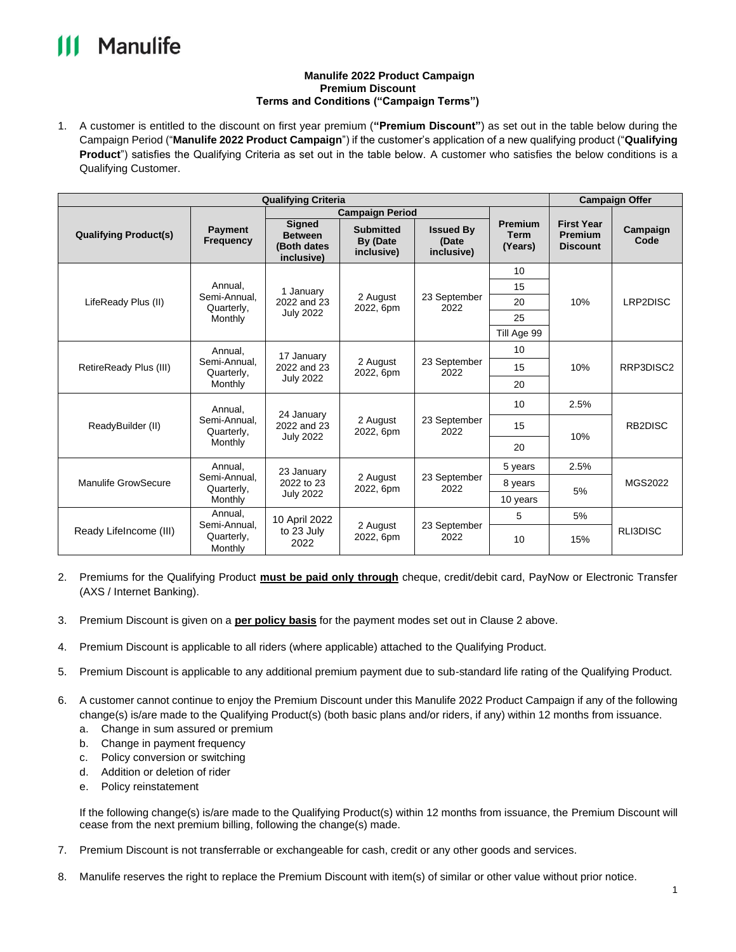## Manulife

## **Manulife 2022 Product Campaign Premium Discount Terms and Conditions ("Campaign Terms")**

1. A customer is entitled to the discount on first year premium (**"Premium Discount"**) as set out in the table below during the Campaign Period ("**Manulife 2022 Product Campaign**") if the customer's application of a new qualifying product ("**Qualifying Product**") satisfies the Qualifying Criteria as set out in the table below. A customer who satisfies the below conditions is a Qualifying Customer.

| <b>Qualifying Criteria</b>   |                                                  |                                                              |                                            |                                         |                                          | <b>Campaign Offer</b>                                  |                      |
|------------------------------|--------------------------------------------------|--------------------------------------------------------------|--------------------------------------------|-----------------------------------------|------------------------------------------|--------------------------------------------------------|----------------------|
|                              |                                                  | <b>Campaign Period</b>                                       |                                            |                                         |                                          |                                                        |                      |
| <b>Qualifying Product(s)</b> | <b>Payment</b><br><b>Frequency</b>               | <b>Signed</b><br><b>Between</b><br>(Both dates<br>inclusive) | <b>Submitted</b><br>By (Date<br>inclusive) | <b>Issued By</b><br>(Date<br>inclusive) | <b>Premium</b><br><b>Term</b><br>(Years) | <b>First Year</b><br><b>Premium</b><br><b>Discount</b> | Campaign<br>Code     |
| LifeReady Plus (II)          | Annual.<br>Semi-Annual.<br>Quarterly,<br>Monthly | 1 January<br>2022 and 23<br><b>July 2022</b>                 | 2 August<br>2022, 6pm                      | 23 September<br>2022                    | 10                                       | 10%                                                    | LRP2DISC             |
|                              |                                                  |                                                              |                                            |                                         | 15                                       |                                                        |                      |
|                              |                                                  |                                                              |                                            |                                         | 20                                       |                                                        |                      |
|                              |                                                  |                                                              |                                            |                                         | 25                                       |                                                        |                      |
|                              |                                                  |                                                              |                                            |                                         | Till Age 99                              |                                                        |                      |
| RetireReady Plus (III)       | Annual,<br>Semi-Annual.<br>Quarterly,<br>Monthly | 17 January<br>2022 and 23<br><b>July 2022</b>                | 2 August<br>2022, 6pm                      | 23 September<br>2022                    | 10                                       | 10%                                                    | RRP3DISC2            |
|                              |                                                  |                                                              |                                            |                                         | 15                                       |                                                        |                      |
|                              |                                                  |                                                              |                                            |                                         | 20                                       |                                                        |                      |
| ReadyBuilder (II)            | Annual.<br>Semi-Annual.<br>Quarterly,<br>Monthly | 24 January<br>2022 and 23<br><b>July 2022</b>                | 2 August<br>2022, 6pm                      | 23 September<br>2022                    | 10                                       | 2.5%                                                   | RB <sub>2</sub> DISC |
|                              |                                                  |                                                              |                                            |                                         | 15                                       | 10%                                                    |                      |
|                              |                                                  |                                                              |                                            |                                         | 20                                       |                                                        |                      |
| <b>Manulife GrowSecure</b>   | Annual,<br>Semi-Annual.<br>Quarterly,<br>Monthly | 23 January<br>2022 to 23<br><b>July 2022</b>                 | 2 August<br>2022, 6pm                      | 23 September<br>2022                    | 5 years                                  | 2.5%                                                   |                      |
|                              |                                                  |                                                              |                                            |                                         | 8 years                                  | 5%                                                     | MGS2022              |
|                              |                                                  |                                                              |                                            |                                         | 10 years                                 |                                                        |                      |
| Ready Lifelncome (III)       | Annual.<br>Semi-Annual.<br>Quarterly,<br>Monthly | 10 April 2022<br>to 23 July<br>2022                          | 2 August<br>2022, 6pm                      | 23 September<br>2022                    | 5                                        | 5%                                                     | RLI3DISC             |
|                              |                                                  |                                                              |                                            |                                         | 10                                       | 15%                                                    |                      |

- 2. Premiums for the Qualifying Product **must be paid only through** cheque, credit/debit card, PayNow or Electronic Transfer (AXS / Internet Banking).
- 3. Premium Discount is given on a **per policy basis** for the payment modes set out in Clause 2 above.
- 4. Premium Discount is applicable to all riders (where applicable) attached to the Qualifying Product.
- 5. Premium Discount is applicable to any additional premium payment due to sub-standard life rating of the Qualifying Product.
- 6. A customer cannot continue to enjoy the Premium Discount under this Manulife 2022 Product Campaign if any of the following change(s) is/are made to the Qualifying Product(s) (both basic plans and/or riders, if any) within 12 months from issuance.
	- a. Change in sum assured or premium
	- b. Change in payment frequency
	- c. Policy conversion or switching
	- d. Addition or deletion of rider
	- e. Policy reinstatement

If the following change(s) is/are made to the Qualifying Product(s) within 12 months from issuance, the Premium Discount will cease from the next premium billing, following the change(s) made.

- 7. Premium Discount is not transferrable or exchangeable for cash, credit or any other goods and services.
- 8. Manulife reserves the right to replace the Premium Discount with item(s) of similar or other value without prior notice.